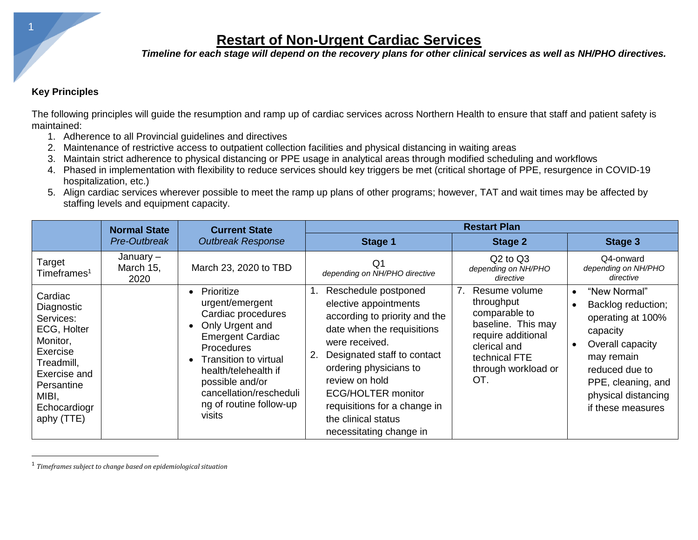*Timeline for each stage will depend on the recovery plans for other clinical services as well as NH/PHO directives.*

#### **Key Principles**

The following principles will guide the resumption and ramp up of cardiac services across Northern Health to ensure that staff and patient safety is maintained:

- 1. Adherence to all Provincial guidelines and directives
- 2. Maintenance of restrictive access to outpatient collection facilities and physical distancing in waiting areas
- 3. Maintain strict adherence to physical distancing or PPE usage in analytical areas through modified scheduling and workflows
- 4. Phased in implementation with flexibility to reduce services should key triggers be met (critical shortage of PPE, resurgence in COVID-19 hospitalization, etc.)
- 5. Align cardiac services wherever possible to meet the ramp up plans of other programs; however, TAT and wait times may be affected by staffing levels and equipment capacity.

|                                                                                                                                                              | <b>Normal State</b>            | <b>Current State</b>                                                                                                                                                                                                                                                                       | <b>Restart Plan</b>                                                                                                                                                                                                                                                                                                      |                                                                                                                                                                           |                                                                                                                                                                                                        |
|--------------------------------------------------------------------------------------------------------------------------------------------------------------|--------------------------------|--------------------------------------------------------------------------------------------------------------------------------------------------------------------------------------------------------------------------------------------------------------------------------------------|--------------------------------------------------------------------------------------------------------------------------------------------------------------------------------------------------------------------------------------------------------------------------------------------------------------------------|---------------------------------------------------------------------------------------------------------------------------------------------------------------------------|--------------------------------------------------------------------------------------------------------------------------------------------------------------------------------------------------------|
|                                                                                                                                                              | Pre-Outbreak                   | <b>Outbreak Response</b>                                                                                                                                                                                                                                                                   | Stage 1                                                                                                                                                                                                                                                                                                                  | <b>Stage 2</b>                                                                                                                                                            | Stage 3                                                                                                                                                                                                |
| Target<br>Timeframes <sup>1</sup>                                                                                                                            | January –<br>March 15,<br>2020 | March 23, 2020 to TBD                                                                                                                                                                                                                                                                      | Q1<br>depending on NH/PHO directive                                                                                                                                                                                                                                                                                      | $Q2$ to $Q3$<br>depending on NH/PHO<br>directive                                                                                                                          | Q4-onward<br>depending on NH/PHO<br>directive                                                                                                                                                          |
| Cardiac<br>Diagnostic<br>Services:<br>ECG, Holter<br>Monitor,<br>Exercise<br>Treadmill,<br>Exercise and<br>Persantine<br>MIBI,<br>Echocardiogr<br>aphy (TTE) |                                | Prioritize<br>$\bullet$<br>urgent/emergent<br>Cardiac procedures<br>Only Urgent and<br>$\bullet$<br><b>Emergent Cardiac</b><br>Procedures<br>Transition to virtual<br>$\bullet$<br>health/telehealth if<br>possible and/or<br>cancellation/rescheduli<br>ng of routine follow-up<br>visits | Reschedule postponed<br>elective appointments<br>according to priority and the<br>date when the requisitions<br>were received.<br>Designated staff to contact<br>ordering physicians to<br>review on hold<br><b>ECG/HOLTER monitor</b><br>requisitions for a change in<br>the clinical status<br>necessitating change in | 7 <sub>1</sub><br>Resume volume<br>throughput<br>comparable to<br>baseline. This may<br>require additional<br>clerical and<br>technical FTE<br>through workload or<br>OT. | "New Normal"<br>$\bullet$<br>Backlog reduction;<br>operating at 100%<br>capacity<br>Overall capacity<br>may remain<br>reduced due to<br>PPE, cleaning, and<br>physical distancing<br>if these measures |

<sup>1</sup> *Timeframes subject to change based on epidemiological situation*

1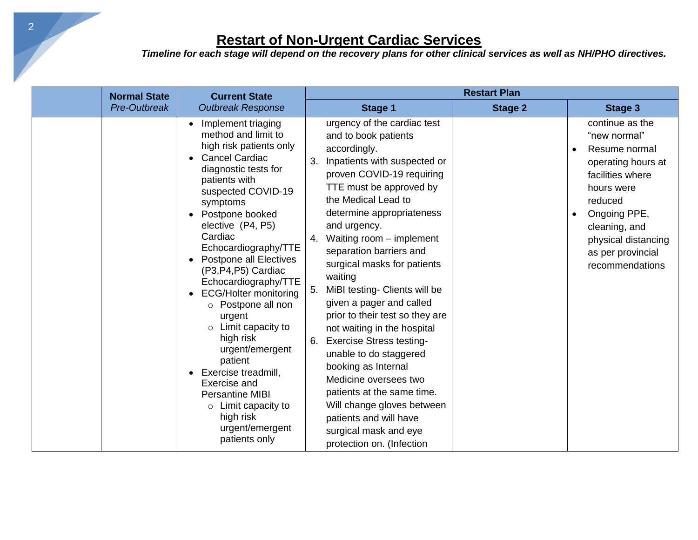| <b>Normal State</b> | <b>Current State</b><br><b>Outbreak Response</b>                                                                                                                                                                                                                                                                                                                                                                                                                                                                                                                                                                          | <b>Restart Plan</b>                                                                                                                                                                                                                                                                                                                                                                                                                                                                                                                                                                                                                                                                                                                        |                |                                                                                                                                                                                                                     |  |
|---------------------|---------------------------------------------------------------------------------------------------------------------------------------------------------------------------------------------------------------------------------------------------------------------------------------------------------------------------------------------------------------------------------------------------------------------------------------------------------------------------------------------------------------------------------------------------------------------------------------------------------------------------|--------------------------------------------------------------------------------------------------------------------------------------------------------------------------------------------------------------------------------------------------------------------------------------------------------------------------------------------------------------------------------------------------------------------------------------------------------------------------------------------------------------------------------------------------------------------------------------------------------------------------------------------------------------------------------------------------------------------------------------------|----------------|---------------------------------------------------------------------------------------------------------------------------------------------------------------------------------------------------------------------|--|
| Pre-Outbreak        |                                                                                                                                                                                                                                                                                                                                                                                                                                                                                                                                                                                                                           | Stage 1                                                                                                                                                                                                                                                                                                                                                                                                                                                                                                                                                                                                                                                                                                                                    | <b>Stage 2</b> | <b>Stage 3</b>                                                                                                                                                                                                      |  |
|                     | Implement triaging<br>method and limit to<br>high risk patients only<br><b>Cancel Cardiac</b><br>diagnostic tests for<br>patients with<br>suspected COVID-19<br>symptoms<br>Postpone booked<br>elective (P4, P5)<br>Cardiac<br>Echocardiography/TTE<br><b>Postpone all Electives</b><br>(P3,P4,P5) Cardiac<br>Echocardiography/TTE<br><b>ECG/Holter monitoring</b><br>o Postpone all non<br>urgent<br>$\circ$ Limit capacity to<br>high risk<br>urgent/emergent<br>patient<br>Exercise treadmill,<br>Exercise and<br><b>Persantine MIBI</b><br>$\circ$ Limit capacity to<br>high risk<br>urgent/emergent<br>patients only | urgency of the cardiac test<br>and to book patients<br>accordingly.<br>Inpatients with suspected or<br>3.<br>proven COVID-19 requiring<br>TTE must be approved by<br>the Medical Lead to<br>determine appropriateness<br>and urgency.<br>Waiting room - implement<br>4.<br>separation barriers and<br>surgical masks for patients<br>waiting<br>MiBI testing- Clients will be<br>5.<br>given a pager and called<br>prior to their test so they are<br>not waiting in the hospital<br><b>Exercise Stress testing-</b><br>unable to do staggered<br>booking as Internal<br>Medicine oversees two<br>patients at the same time.<br>Will change gloves between<br>patients and will have<br>surgical mask and eye<br>protection on. (Infection |                | continue as the<br>"new normal"<br>Resume normal<br>operating hours at<br>facilities where<br>hours were<br>reduced<br>Ongoing PPE,<br>cleaning, and<br>physical distancing<br>as per provincial<br>recommendations |  |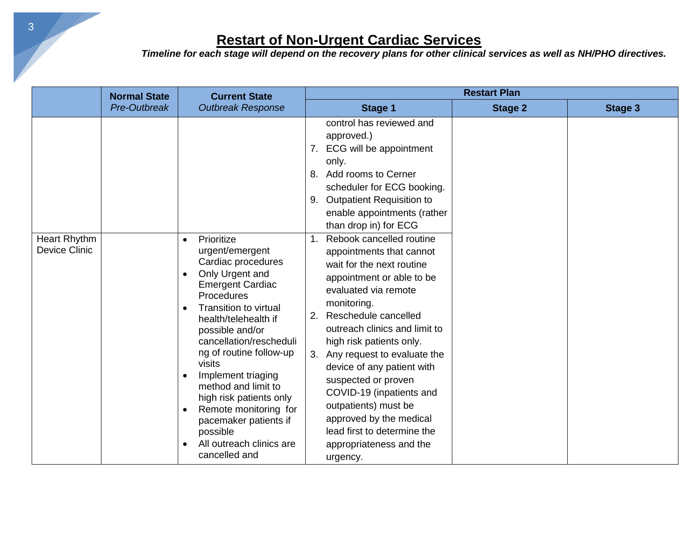|                                             | <b>Normal State</b> | <b>Current State</b>                                                                                                                                                                                                                                                                                                                                                                                                                                                    | <b>Restart Plan</b>                                                                                                                                                                                                                                                                                                                                                                                                                                                                                   |                |                |
|---------------------------------------------|---------------------|-------------------------------------------------------------------------------------------------------------------------------------------------------------------------------------------------------------------------------------------------------------------------------------------------------------------------------------------------------------------------------------------------------------------------------------------------------------------------|-------------------------------------------------------------------------------------------------------------------------------------------------------------------------------------------------------------------------------------------------------------------------------------------------------------------------------------------------------------------------------------------------------------------------------------------------------------------------------------------------------|----------------|----------------|
|                                             | Pre-Outbreak        | <b>Outbreak Response</b>                                                                                                                                                                                                                                                                                                                                                                                                                                                | Stage 1                                                                                                                                                                                                                                                                                                                                                                                                                                                                                               | <b>Stage 2</b> | <b>Stage 3</b> |
|                                             |                     |                                                                                                                                                                                                                                                                                                                                                                                                                                                                         | control has reviewed and<br>approved.)<br>ECG will be appointment<br>7.<br>only.<br>Add rooms to Cerner<br>8.<br>scheduler for ECG booking.<br><b>Outpatient Requisition to</b><br>9.<br>enable appointments (rather<br>than drop in) for ECG                                                                                                                                                                                                                                                         |                |                |
| <b>Heart Rhythm</b><br><b>Device Clinic</b> |                     | Prioritize<br>$\bullet$<br>urgent/emergent<br>Cardiac procedures<br>Only Urgent and<br><b>Emergent Cardiac</b><br>Procedures<br><b>Transition to virtual</b><br>health/telehealth if<br>possible and/or<br>cancellation/rescheduli<br>ng of routine follow-up<br>visits<br>Implement triaging<br>method and limit to<br>high risk patients only<br>Remote monitoring for<br>$\bullet$<br>pacemaker patients if<br>possible<br>All outreach clinics are<br>cancelled and | Rebook cancelled routine<br>1.<br>appointments that cannot<br>wait for the next routine<br>appointment or able to be<br>evaluated via remote<br>monitoring.<br>Reschedule cancelled<br>2.<br>outreach clinics and limit to<br>high risk patients only.<br>Any request to evaluate the<br>3.<br>device of any patient with<br>suspected or proven<br>COVID-19 (inpatients and<br>outpatients) must be<br>approved by the medical<br>lead first to determine the<br>appropriateness and the<br>urgency. |                |                |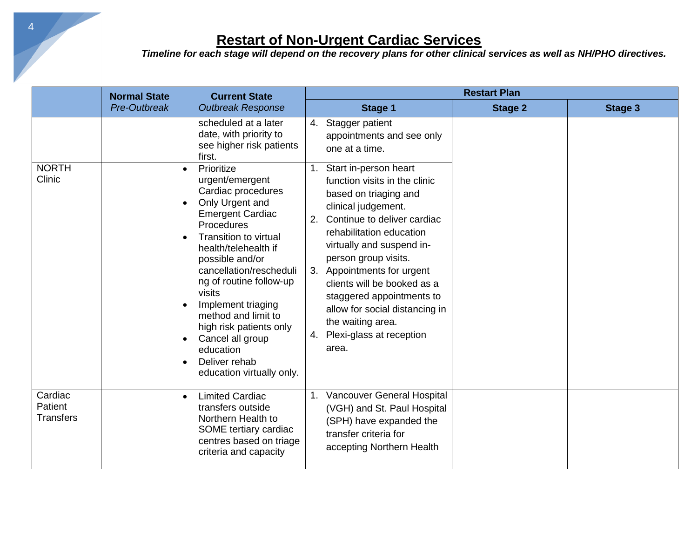|                                 | <b>Normal State</b> | <b>Current State</b><br><b>Outbreak Response</b>                                                                                                                                                                                                                                                                                                                                                                                                                     | <b>Restart Plan</b>                                                                                                                                                                                                                                                                                                                                                                                |                |                |
|---------------------------------|---------------------|----------------------------------------------------------------------------------------------------------------------------------------------------------------------------------------------------------------------------------------------------------------------------------------------------------------------------------------------------------------------------------------------------------------------------------------------------------------------|----------------------------------------------------------------------------------------------------------------------------------------------------------------------------------------------------------------------------------------------------------------------------------------------------------------------------------------------------------------------------------------------------|----------------|----------------|
|                                 | Pre-Outbreak        |                                                                                                                                                                                                                                                                                                                                                                                                                                                                      | <b>Stage 1</b>                                                                                                                                                                                                                                                                                                                                                                                     | <b>Stage 2</b> | <b>Stage 3</b> |
| <b>NORTH</b>                    |                     | scheduled at a later<br>date, with priority to<br>see higher risk patients<br>first.<br>Prioritize                                                                                                                                                                                                                                                                                                                                                                   | 4. Stagger patient<br>appointments and see only<br>one at a time.<br>1. Start in-person heart                                                                                                                                                                                                                                                                                                      |                |                |
| Clinic                          |                     | urgent/emergent<br>Cardiac procedures<br>Only Urgent and<br>$\bullet$<br><b>Emergent Cardiac</b><br>Procedures<br><b>Transition to virtual</b><br>$\bullet$<br>health/telehealth if<br>possible and/or<br>cancellation/rescheduli<br>ng of routine follow-up<br>visits<br>Implement triaging<br>$\bullet$<br>method and limit to<br>high risk patients only<br>Cancel all group<br>$\bullet$<br>education<br>Deliver rehab<br>$\bullet$<br>education virtually only. | function visits in the clinic<br>based on triaging and<br>clinical judgement.<br>Continue to deliver cardiac<br>2.<br>rehabilitation education<br>virtually and suspend in-<br>person group visits.<br>Appointments for urgent<br>3.<br>clients will be booked as a<br>staggered appointments to<br>allow for social distancing in<br>the waiting area.<br>Plexi-glass at reception<br>4.<br>area. |                |                |
| Cardiac<br>Patient<br>Transfers |                     | <b>Limited Cardiac</b><br>$\bullet$<br>transfers outside<br>Northern Health to<br>SOME tertiary cardiac<br>centres based on triage<br>criteria and capacity                                                                                                                                                                                                                                                                                                          | 1. Vancouver General Hospital<br>(VGH) and St. Paul Hospital<br>(SPH) have expanded the<br>transfer criteria for<br>accepting Northern Health                                                                                                                                                                                                                                                      |                |                |